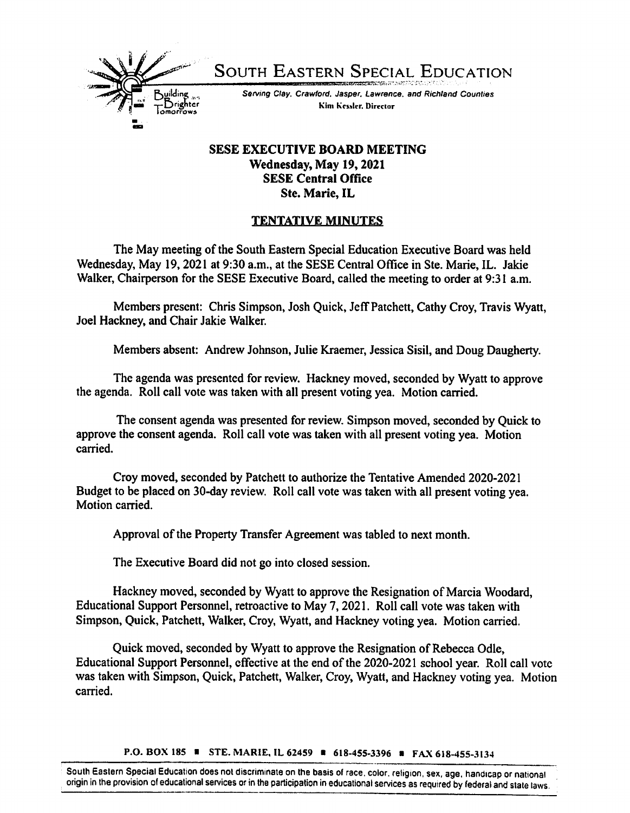

South Eastern Special Education

Serving Clay. Crawford. Jasper. Lawrence, and Richland Counties Kim Kessler, Director

## SESE EXECUTIVE BOARD MEETING Wednesday, May 19,2021 SESE Central Office Ste. Marie, IL

## TENTATIVE MINUTES

The May meeting of the South Eastern Special Education Executive Board was held Wednesday, May 19,2021 at 9:30 a.m., at the SESE Central Office in Ste. Marie, IL. Jakie Walker, Chairperson for the SESE Executive Board, called the meeting to order at 9:31 a.m.

Members present: Chris Simpson, Josh Quick, Jeff Patchett, Cathy Croy, Travis Wyatt, Joel Hackney, and Chair Jakie Walker.

Members absent: Andrew Johnson, Julie Kraemer, Jessica Sisil, and Doug Daugherty.

The agenda was presented for review. Hackney moved, seconded by Wyatt to approve the agenda. Roll call vote was taken with all present voting yea. Motion carried.

The consent agenda was presented for review. Simpson moved, seconded by Quick to approve the consent agenda. Roll call vote was taken with all present voting yea. Motion carried.

Croy moved, seconded by Patchett to authorize the Tentative Amended 2020-2021 Budget to be placed on 30-day review. Roll call vote was taken with all present voting yea. Motion carried.

Approval of the Property Transfer Agreement was tabled to next month.

The Executive Board did not go into closed session.

Hackney moved, seconded by Wyatt to approve the Resignation of Marcia Woodard, Educational Support Personnel, retroactive to May 7,2021. Roll call vote was taken with Simpson, Quick, Patchett, Walker, Croy, Wyatt, and Hackney voting yea. Motion carried.

Quick moved, seconded by Wyatt to approve the Resignation of Rebecca Odle, Educational Support Personnel, effective at the end of the 2020-2021 school year. Roll call vote was taken with Simpson, Quick, Patchett, Walker, Croy, Wyatt, and Hackney voting yea. Motion carried.

P.O. BOX 185 ■ STE. MARIE, IL 62459 ■ 618-455-3396 ■ FAX 618-455-3134

South Eastern Special Education does not discriminate on the basis of race, color, religion, sex, age, handicap or national origin in the provision of educational services or in the participation in educational services as required by federal and state laws.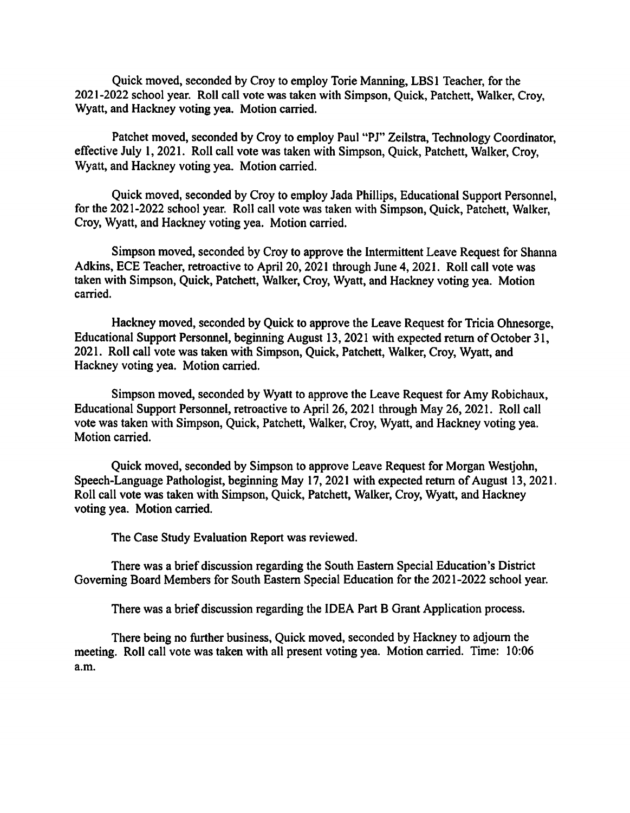Quick moved, seconded by Croy to employ Tone Manning, LBSl Teacher, for the 2021-2022 school year. Roll call vote was taken with Simpson, Quick, Patchett, Walker, Croy, Wyatt, and Hackney voting yea. Motion carried.

Patchet moved, seconded by Croy to employ Paul "PJ" Zeilstra, Technology Coordinator, effective July 1,2021. Roll call vote was taken with Simpson, Quick, Patchett, Walker, Croy, Wyatt, and Hackney voting yea. Motion carried.

Quick moved, seconded by Croy to employ Jada Phillips, Educational Support Personnel, for the 2021-2022 school year. Roll call vote was taken with Simpson, Quick, Patchett, Walker, Croy, Wyatt, and Hackney voting yea. Motion carried.

Simpson moved, seconded by Croy to approve the Intermittent Leave Request for Shanna Adkins, ECE Teacher, retroactive to April 20,2021 through June 4,2021. Roll call vote was taken with Simpson, Quick, Patchett, Walker, Croy, Wyatt, and Hackney voting yea. Motion carried.

Hackney moved, seconded by Quick to approve the Leave Request for Tricia Ohnesorge, Educational Support Personnel, beginning August 13, 2021 with expected return of October 31, 2021. Roll call vote was taken with Simpson, Quick, Patchett, Walker, Croy, Wyatt, and Hackney voting yea. Motion carried.

Simpson moved, seconded by Wyatt to approve the Leave Request for Amy Robichaux, Educational Support Personnel, retroactive to April 26, 2021 through May 26, 2021. Roll call vote was taken with Simpson, Quick, Patchett, Walker, Croy, Wyatt, and Hackney voting yea. Motion carried.

Quick moved, seconded by Simpson to approve Leave Request for Morgan Westjohn, Speech-Language Pathologist, beginning May 17,2021 with expected return of August 13,2021. Roll call vote was taken with Simpson, Quick, Patchett, Walker, Croy, Wyatt, and Hackney voting yea. Motion carried.

The Case Study Evaluation Report was reviewed.

There was a brief discussion regarding the South Eastem Special Education's District Governing Board Members for South Eastem Special Education for the 2021-2022 school year.

There was a brief discussion regarding the IDEA Part B Grant Application process.

There being no further business. Quick moved, seconded by Hackney to adjoum the meeting. Roll call vote was taken with all present voting yea. Motion carried. Time: 10:06 a.m.